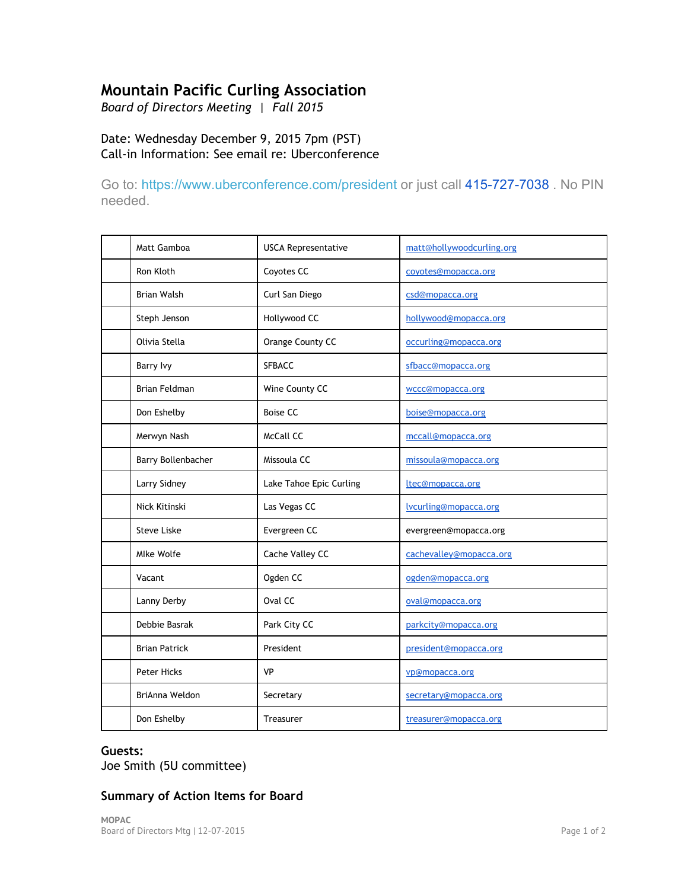# **Mountain Pacific Curling Association**

*Board of Directors Meeting | Fall 2015*

Date: Wednesday December 9, 2015 7pm (PST) Call‐in Information: See email re: Uberconference

Go to: <https://www.uberconference.com/president> or just call 415-727-7038 . No PIN needed.

| Matt Gamboa          | <b>USCA Representative</b> | matt@hollywoodcurling.org |
|----------------------|----------------------------|---------------------------|
| Ron Kloth            | Coyotes CC                 | coyotes@mopacca.org       |
| <b>Brian Walsh</b>   | Curl San Diego             | csd@mopacca.org           |
| Steph Jenson         | Hollywood CC               | hollywood@mopacca.org     |
| Olivia Stella        | Orange County CC           | occurling@mopacca.org     |
| <b>Barry Ivy</b>     | <b>SFBACC</b>              | sfbacc@mopacca.org        |
| <b>Brian Feldman</b> | Wine County CC             | wccc@mopacca.org          |
| Don Eshelby          | <b>Boise CC</b>            | boise@mopacca.org         |
| Merwyn Nash          | McCall CC                  | mccall@mopacca.org        |
| Barry Bollenbacher   | Missoula CC                | missoula@mopacca.org      |
| Larry Sidney         | Lake Tahoe Epic Curling    | ltec@mopacca.org          |
| Nick Kitinski        | Las Vegas CC               | lvcurling@mopacca.org     |
| <b>Steve Liske</b>   | Evergreen CC               | evergreen@mopacca.org     |
| Mlke Wolfe           | Cache Valley CC            | cachevalley@mopacca.org   |
| Vacant               | Ogden CC                   | ogden@mopacca.org         |
| Lanny Derby          | Oval CC                    | oval@mopacca.org          |
| Debbie Basrak        | Park City CC               | parkcity@mopacca.org      |
| <b>Brian Patrick</b> | President                  | president@mopacca.org     |
| Peter Hicks          | <b>VP</b>                  | vp@mopacca.org            |
| BriAnna Weldon       | Secretary                  | secretary@mopacca.org     |
| Don Eshelby          | Treasurer                  | treasurer@mopacca.org     |

#### **Guests:**

Joe Smith (5U committee)

## **Summary of Action Items for Board**